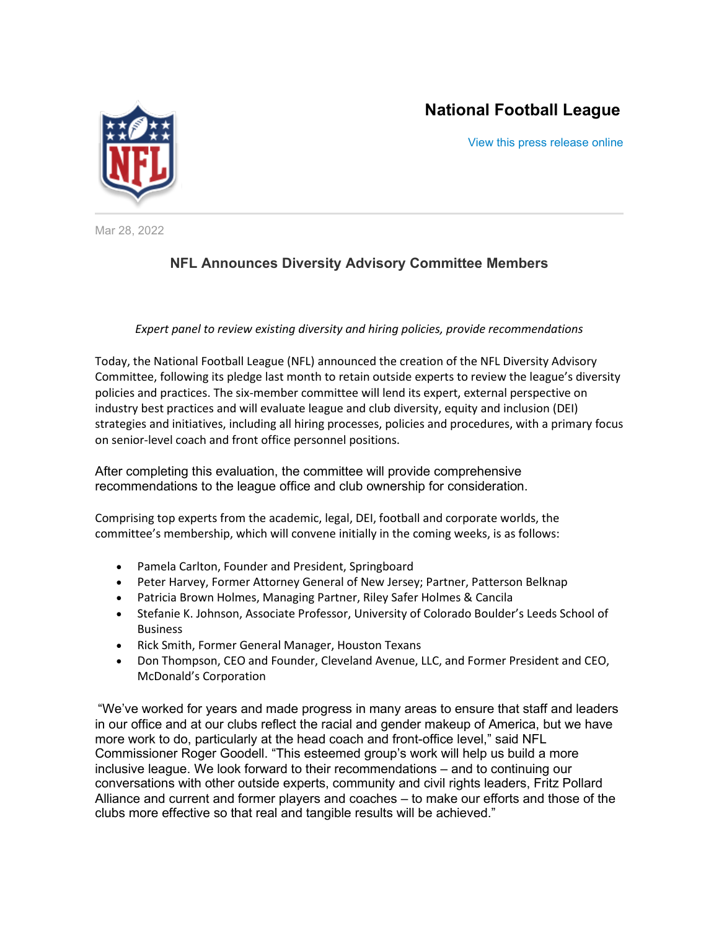# **National Football League**

[View this press release online](http://links.nflcommunications.com/ls/click?upn=nBZmy9Doq8rx11-2FtNl1dIxB0L504m52gmHodfhfrLqCQ3r4jUZLRGuo1ikxOcVC-2FJLnmYtz4qQ3IFM7p00zYnFcgTtTsuFpbuYvjqkZHyE-2BlQb9JGJun5g9OwidQHYxzNhvaQhfToeyOXjl9aA-2BW2Q-3D-3DqH0n_-2Br80vsRH8-2FkHniLui7-2B8GWU499yJQvu6YQzXGEvk-2BAPKGWXR0h4ycTispOBNTaEd2RPMNShFWD0-2BLj8eJLAqcaffuCerRJ-2B3GJKDqc5CNuagg8BzBuQQmBOldIofC1GxnOWdlfCPacgosHZaOWStiP6wfZUoRJ-2BJCNR904n-2Ba1TlwOOcjE3-2Bzqsdunzqq4pjS2KBIVWr5XrLbI7Hu1tTu-2F1hyLs87VD4oTZnK12jRdNVXaBOCuccYXFMvPQi9hZflJIZs0pkXCvdnW-2Fropl0Rvo9HTlifNJLDdVoAT6-2Ba4BZlFrzLtIwwhj0f22y6SCTmbAdMC0t6VqU7bAKNOPkyYM4KMunK2NsuMXyYBCCVr2AU1jZvC2NvtcNz6ZDR2P0SBFW9OHAzeCpf2C7-2F6SHoSE1lNrnrH6Wi-2FfAoW7iJLr0KsWA-2BSl8zLwI1a-2FepPdT)



Mar 28, 2022

# **NFL Announces Diversity Advisory Committee Members**

## *Expert panel to review existing diversity and hiring policies, provide recommendations*

Today, the National Football League (NFL) announced the creation of the NFL Diversity Advisory Committee, following its pledge last month to retain outside experts to review the league's diversity policies and practices. The six-member committee will lend its expert, external perspective on industry best practices and will evaluate league and club diversity, equity and inclusion (DEI) strategies and initiatives, including all hiring processes, policies and procedures, with a primary focus on senior-level coach and front office personnel positions.

After completing this evaluation, the committee will provide comprehensive recommendations to the league office and club ownership for consideration.

Comprising top experts from the academic, legal, DEI, football and corporate worlds, the committee's membership, which will convene initially in the coming weeks, is as follows:

- Pamela Carlton, Founder and President, Springboard
- Peter Harvey, Former Attorney General of New Jersey; Partner, Patterson Belknap
- Patricia Brown Holmes, Managing Partner, Riley Safer Holmes & Cancila
- Stefanie K. Johnson, Associate Professor, University of Colorado Boulder's Leeds School of **Business**
- Rick Smith, Former General Manager, Houston Texans
- Don Thompson, CEO and Founder, Cleveland Avenue, LLC, and Former President and CEO, McDonald's Corporation

"We've worked for years and made progress in many areas to ensure that staff and leaders in our office and at our clubs reflect the racial and gender makeup of America, but we have more work to do, particularly at the head coach and front-office level," said NFL Commissioner Roger Goodell. "This esteemed group's work will help us build a more inclusive league. We look forward to their recommendations – and to continuing our conversations with other outside experts, community and civil rights leaders, Fritz Pollard Alliance and current and former players and coaches – to make our efforts and those of the clubs more effective so that real and tangible results will be achieved."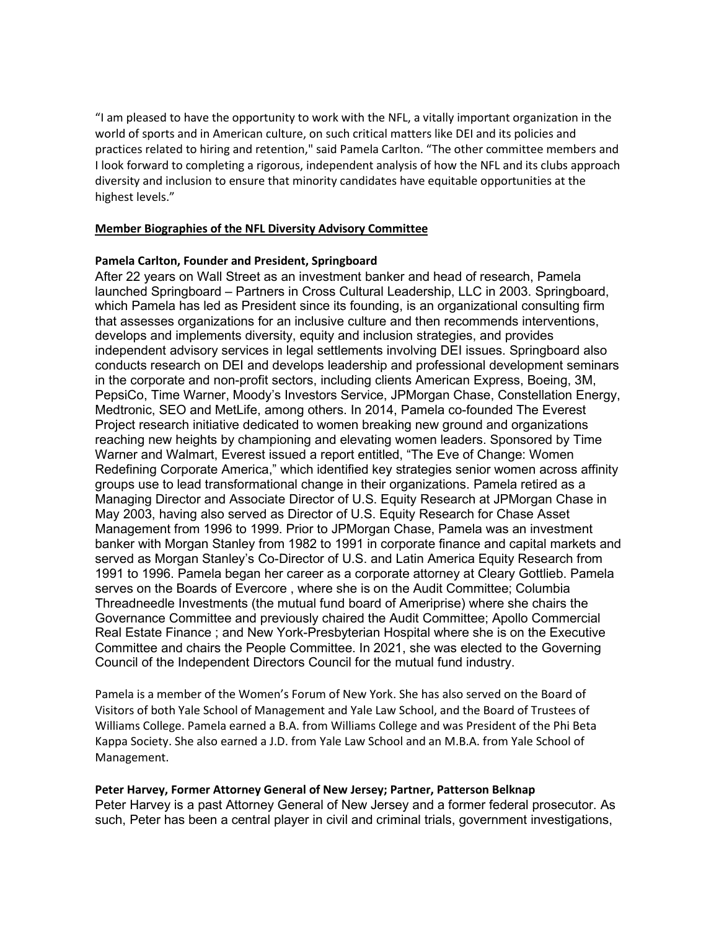"I am pleased to have the opportunity to work with the NFL, a vitally important organization in the world of sports and in American culture, on such critical matters like DEI and its policies and practices related to hiring and retention," said Pamela Carlton. "The other committee members and I look forward to completing a rigorous, independent analysis of how the NFL and its clubs approach diversity and inclusion to ensure that minority candidates have equitable opportunities at the highest levels."

#### **Member Biographies of the NFL Diversity Advisory Committee**

#### **Pamela Carlton, Founder and President, Springboard**

After 22 years on Wall Street as an investment banker and head of research, Pamela launched Springboard – Partners in Cross Cultural Leadership, LLC in 2003. Springboard, which Pamela has led as President since its founding, is an organizational consulting firm that assesses organizations for an inclusive culture and then recommends interventions, develops and implements diversity, equity and inclusion strategies, and provides independent advisory services in legal settlements involving DEI issues. Springboard also conducts research on DEI and develops leadership and professional development seminars in the corporate and non-profit sectors, including clients American Express, Boeing, 3M, PepsiCo, Time Warner, Moody's Investors Service, JPMorgan Chase, Constellation Energy, Medtronic, SEO and MetLife, among others. In 2014, Pamela co-founded The Everest Project research initiative dedicated to women breaking new ground and organizations reaching new heights by championing and elevating women leaders. Sponsored by Time Warner and Walmart, Everest issued a report entitled, "The Eve of Change: Women Redefining Corporate America," which identified key strategies senior women across affinity groups use to lead transformational change in their organizations. Pamela retired as a Managing Director and Associate Director of U.S. Equity Research at JPMorgan Chase in May 2003, having also served as Director of U.S. Equity Research for Chase Asset Management from 1996 to 1999. Prior to JPMorgan Chase, Pamela was an investment banker with Morgan Stanley from 1982 to 1991 in corporate finance and capital markets and served as Morgan Stanley's Co-Director of U.S. and Latin America Equity Research from 1991 to 1996. Pamela began her career as a corporate attorney at Cleary Gottlieb. Pamela serves on the Boards of Evercore , where she is on the Audit Committee; Columbia Threadneedle Investments (the mutual fund board of Ameriprise) where she chairs the Governance Committee and previously chaired the Audit Committee; Apollo Commercial Real Estate Finance ; and New York-Presbyterian Hospital where she is on the Executive Committee and chairs the People Committee. In 2021, she was elected to the Governing Council of the Independent Directors Council for the mutual fund industry.

Pamela is a member of the Women's Forum of New York. She has also served on the Board of Visitors of both Yale School of Management and Yale Law School, and the Board of Trustees of Williams College. Pamela earned a B.A. from Williams College and was President of the Phi Beta Kappa Society. She also earned a J.D. from Yale Law School and an M.B.A. from Yale School of Management.

## **Peter Harvey, Former Attorney General of New Jersey; Partner, Patterson Belknap**

Peter Harvey is a past Attorney General of New Jersey and a former federal prosecutor. As such, Peter has been a central player in civil and criminal trials, government investigations,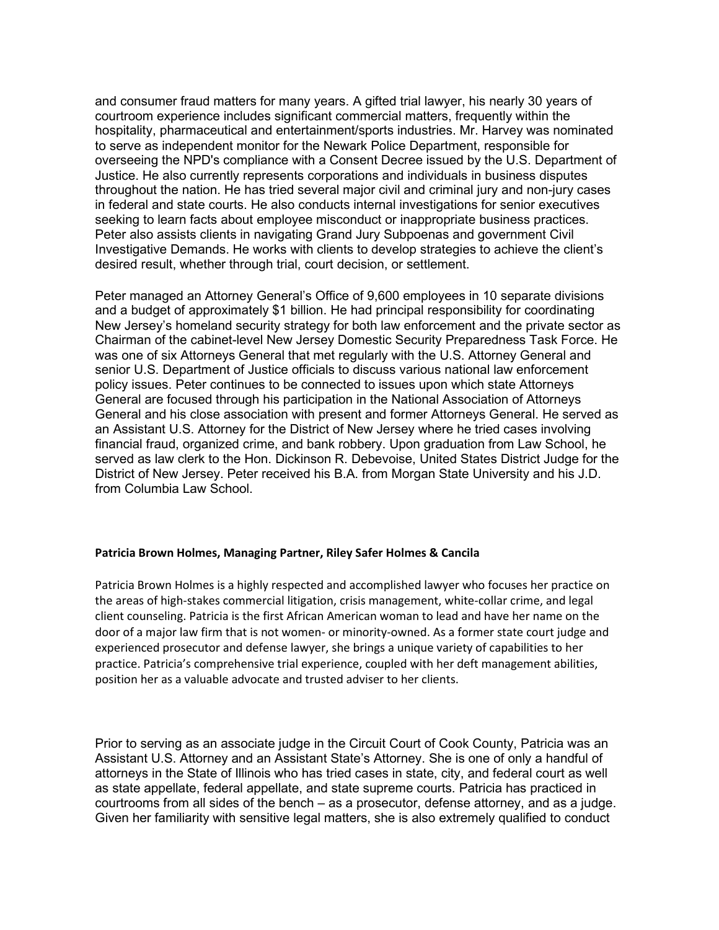and consumer fraud matters for many years. A gifted trial lawyer, his nearly 30 years of courtroom experience includes significant commercial matters, frequently within the hospitality, pharmaceutical and entertainment/sports industries. Mr. Harvey was nominated to serve as independent monitor for the Newark Police Department, responsible for overseeing the NPD's compliance with a Consent Decree issued by the U.S. Department of Justice. He also currently represents corporations and individuals in business disputes throughout the nation. He has tried several major civil and criminal jury and non-jury cases in federal and state courts. He also conducts internal investigations for senior executives seeking to learn facts about employee misconduct or inappropriate business practices. Peter also assists clients in navigating Grand Jury Subpoenas and government Civil Investigative Demands. He works with clients to develop strategies to achieve the client's desired result, whether through trial, court decision, or settlement.

Peter managed an Attorney General's Office of 9,600 employees in 10 separate divisions and a budget of approximately \$1 billion. He had principal responsibility for coordinating New Jersey's homeland security strategy for both law enforcement and the private sector as Chairman of the cabinet-level New Jersey Domestic Security Preparedness Task Force. He was one of six Attorneys General that met regularly with the U.S. Attorney General and senior U.S. Department of Justice officials to discuss various national law enforcement policy issues. Peter continues to be connected to issues upon which state Attorneys General are focused through his participation in the National Association of Attorneys General and his close association with present and former Attorneys General. He served as an Assistant U.S. Attorney for the District of New Jersey where he tried cases involving financial fraud, organized crime, and bank robbery. Upon graduation from Law School, he served as law clerk to the Hon. Dickinson R. Debevoise, United States District Judge for the District of New Jersey. Peter received his B.A. from Morgan State University and his J.D. from Columbia Law School.

## **Patricia Brown Holmes, Managing Partner, Riley Safer Holmes & Cancila**

Patricia Brown Holmes is a highly respected and accomplished lawyer who focuses her practice on the areas of high-stakes commercial litigation, crisis management, white-collar crime, and legal client counseling. Patricia is the first African American woman to lead and have her name on the door of a major law firm that is not women- or minority-owned. As a former state court judge and experienced prosecutor and defense lawyer, she brings a unique variety of capabilities to her practice. Patricia's comprehensive trial experience, coupled with her deft management abilities, position her as a valuable advocate and trusted adviser to her clients.

Prior to serving as an associate judge in the Circuit Court of Cook County, Patricia was an Assistant U.S. Attorney and an Assistant State's Attorney. She is one of only a handful of attorneys in the State of Illinois who has tried cases in state, city, and federal court as well as state appellate, federal appellate, and state supreme courts. Patricia has practiced in courtrooms from all sides of the bench – as a prosecutor, defense attorney, and as a judge. Given her familiarity with sensitive legal matters, she is also extremely qualified to conduct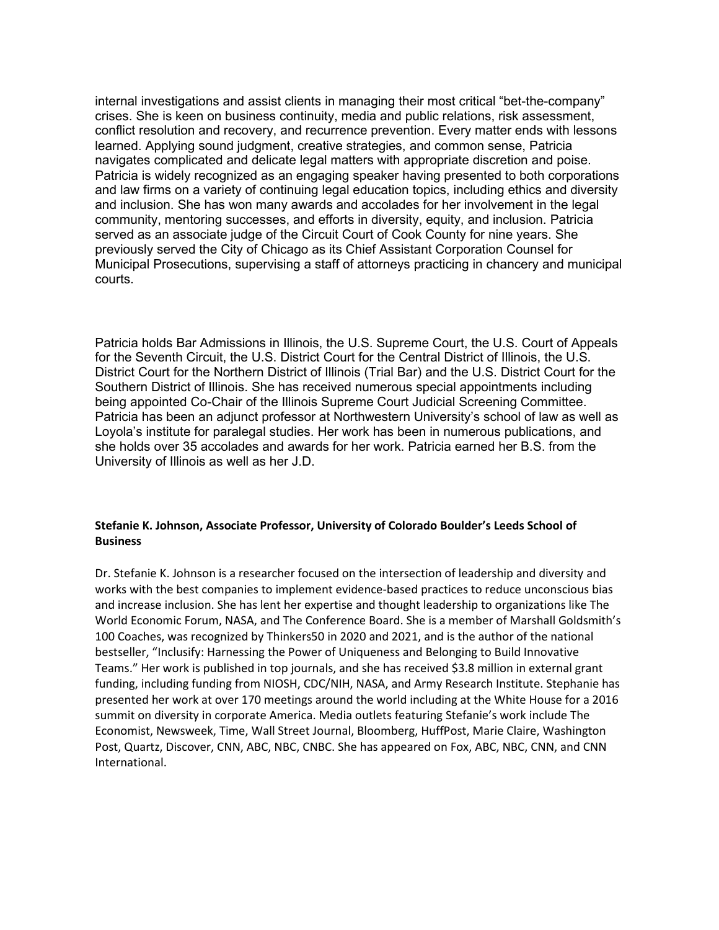internal investigations and assist clients in managing their most critical "bet-the-company" crises. She is keen on business continuity, media and public relations, risk assessment, conflict resolution and recovery, and recurrence prevention. Every matter ends with lessons learned. Applying sound judgment, creative strategies, and common sense, Patricia navigates complicated and delicate legal matters with appropriate discretion and poise. Patricia is widely recognized as an engaging speaker having presented to both corporations and law firms on a variety of continuing legal education topics, including ethics and diversity and inclusion. She has won many awards and accolades for her involvement in the legal community, mentoring successes, and efforts in diversity, equity, and inclusion. Patricia served as an associate judge of the Circuit Court of Cook County for nine years. She previously served the City of Chicago as its Chief Assistant Corporation Counsel for Municipal Prosecutions, supervising a staff of attorneys practicing in chancery and municipal courts.

Patricia holds Bar Admissions in Illinois, the U.S. Supreme Court, the U.S. Court of Appeals for the Seventh Circuit, the U.S. District Court for the Central District of Illinois, the U.S. District Court for the Northern District of Illinois (Trial Bar) and the U.S. District Court for the Southern District of Illinois. She has received numerous special appointments including being appointed Co-Chair of the Illinois Supreme Court Judicial Screening Committee. Patricia has been an adjunct professor at Northwestern University's school of law as well as Loyola's institute for paralegal studies. Her work has been in numerous publications, and she holds over 35 accolades and awards for her work. Patricia earned her B.S. from the University of Illinois as well as her J.D.

# **Stefanie K. Johnson, Associate Professor, University of Colorado Boulder's Leeds School of Business**

Dr. Stefanie K. Johnson is a researcher focused on the intersection of leadership and diversity and works with the best companies to implement evidence-based practices to reduce unconscious bias and increase inclusion. She has lent her expertise and thought leadership to organizations like The World Economic Forum, NASA, and The Conference Board. She is a member of Marshall Goldsmith's 100 Coaches, was recognized by Thinkers50 in 2020 and 2021, and is the author of the national bestseller, "Inclusify: Harnessing the Power of Uniqueness and Belonging to Build Innovative Teams." Her work is published in top journals, and she has received \$3.8 million in external grant funding, including funding from NIOSH, CDC/NIH, NASA, and Army Research Institute. Stephanie has presented her work at over 170 meetings around the world including at the White House for a 2016 summit on diversity in corporate America. Media outlets featuring Stefanie's work include The Economist, Newsweek, Time, Wall Street Journal, Bloomberg, HuffPost, Marie Claire, Washington Post, Quartz, Discover, CNN, ABC, NBC, CNBC. She has appeared on Fox, ABC, NBC, CNN, and CNN International.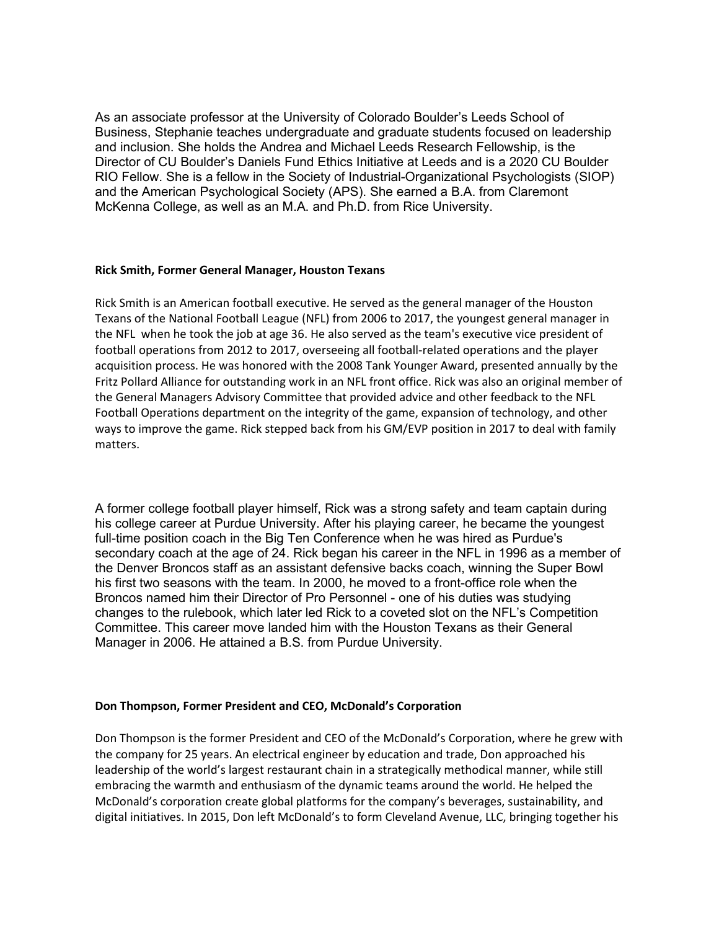As an associate professor at the University of Colorado Boulder's Leeds School of Business, Stephanie teaches undergraduate and graduate students focused on leadership and inclusion. She holds the Andrea and Michael Leeds Research Fellowship, is the Director of CU Boulder's Daniels Fund Ethics Initiative at Leeds and is a 2020 CU Boulder RIO Fellow. She is a fellow in the Society of Industrial-Organizational Psychologists (SIOP) and the American Psychological Society (APS). She earned a B.A. from Claremont McKenna College, as well as an M.A. and Ph.D. from Rice University.

#### **Rick Smith, Former General Manager, Houston Texans**

Rick Smith is an American football executive. He served as the general manager of the Houston Texans of the National Football League (NFL) from 2006 to 2017, the youngest general manager in the NFL when he took the job at age 36. He also served as the team's executive vice president of football operations from 2012 to 2017, overseeing all football-related operations and the player acquisition process. He was honored with the 2008 Tank Younger Award, presented annually by the Fritz Pollard Alliance for outstanding work in an NFL front office. Rick was also an original member of the General Managers Advisory Committee that provided advice and other feedback to the NFL Football Operations department on the integrity of the game, expansion of technology, and other ways to improve the game. Rick stepped back from his GM/EVP position in 2017 to deal with family matters.

A former college football player himself, Rick was a strong safety and team captain during his college career at Purdue University. After his playing career, he became the youngest full-time position coach in the Big Ten Conference when he was hired as Purdue's secondary coach at the age of 24. Rick began his career in the NFL in 1996 as a member of the Denver Broncos staff as an assistant defensive backs coach, winning the Super Bowl his first two seasons with the team. In 2000, he moved to a front-office role when the Broncos named him their Director of Pro Personnel - one of his duties was studying changes to the rulebook, which later led Rick to a coveted slot on the NFL's Competition Committee. This career move landed him with the Houston Texans as their General Manager in 2006. He attained a B.S. from Purdue University.

## **Don Thompson, Former President and CEO, McDonald's Corporation**

Don Thompson is the former President and CEO of the McDonald's Corporation, where he grew with the company for 25 years. An electrical engineer by education and trade, Don approached his leadership of the world's largest restaurant chain in a strategically methodical manner, while still embracing the warmth and enthusiasm of the dynamic teams around the world. He helped the McDonald's corporation create global platforms for the company's beverages, sustainability, and digital initiatives. In 2015, Don left McDonald's to form Cleveland Avenue, LLC, bringing together his